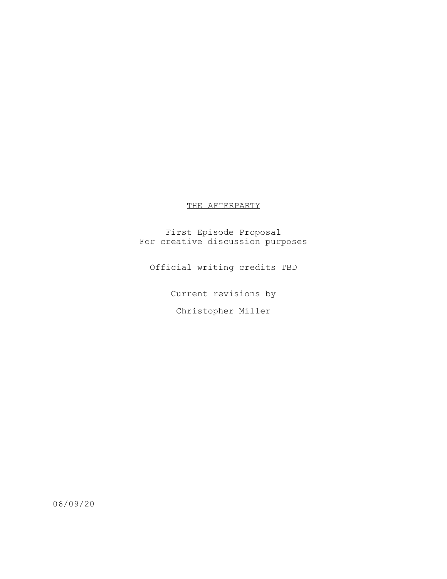# THE AFTERPARTY

First Episode Proposal For creative discussion purposes

Official writing credits TBD

Current revisions by

Christopher Miller

06/09/20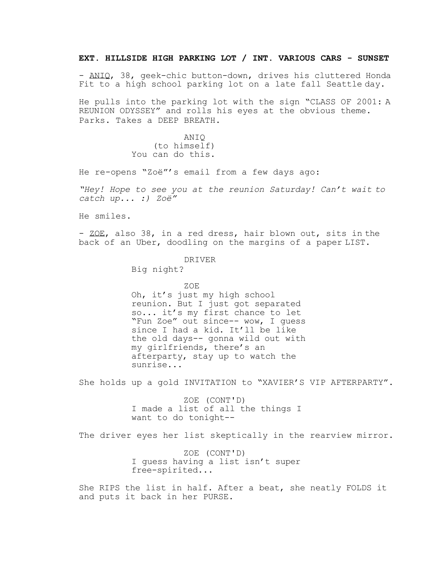#### **EXT. HILLSIDE HIGH PARKING LOT / INT. VARIOUS CARS - SUNSET**

- ANIQ, 38, geek-chic button-down, drives his cluttered Honda Fit to a high school parking lot on a late fall Seattle day.

He pulls into the parking lot with the sign "CLASS OF 2001: A REUNION ODYSSEY" and rolls his eyes at the obvious theme. Parks. Takes a DEEP BREATH.

> ANIQ (to himself) You can do this.

He re-opens "Zoë"'s email from a few days ago:

*"Hey! Hope to see you at the reunion Saturday! Can't wait to catch up... :) Zoë"*

He smiles.

- ZOE, also 38, in a red dress, hair blown out, sits in the back of an Uber, doodling on the margins of a paper LIST.

#### DRIVER

Big night?

ZOE Oh, it's just my high school reunion. But I just got separated so... it's my first chance to let "Fun Zoe" out since-- wow, I guess since I had a kid. It'll be like the old days-- gonna wild out with my girlfriends, there's an afterparty, stay up to watch the sunrise...

She holds up a gold INVITATION to "XAVIER'S VIP AFTERPARTY".

ZOE (CONT'D) I made a list of all the things I want to do tonight--

The driver eyes her list skeptically in the rearview mirror.

ZOE (CONT'D) I guess having a list isn't super free-spirited...

She RIPS the list in half. After a beat, she neatly FOLDS it and puts it back in her PURSE.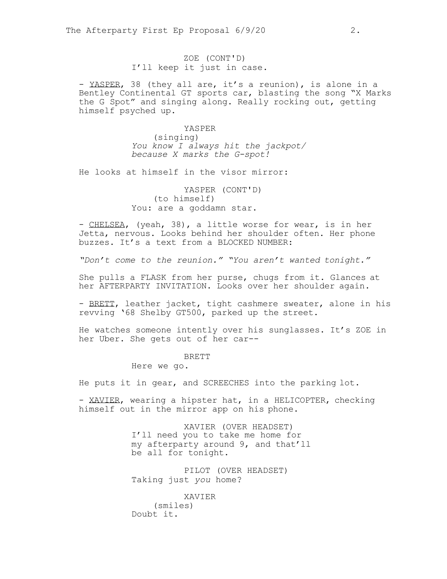ZOE (CONT'D) I'll keep it just in case.

- YASPER, 38 (they all are, it's a reunion), is alone in a Bentley Continental GT sports car, blasting the song "X Marks the G Spot" and singing along. Really rocking out, getting himself psyched up.

> YASPER (singing) *You know I always hit the jackpot/ because X marks the G-spot!*

He looks at himself in the visor mirror:

YASPER (CONT'D) (to himself) You: are a goddamn star.

- CHELSEA, (yeah, 38), a little worse for wear, is in her Jetta, nervous. Looks behind her shoulder often. Her phone buzzes. It's a text from a BLOCKED NUMBER:

*"Don't come to the reunion." "You aren't wanted tonight."*

She pulls a FLASK from her purse, chugs from it. Glances at her AFTERPARTY INVITATION. Looks over her shoulder again.

- BRETT, leather jacket, tight cashmere sweater, alone in his revving '68 Shelby GT500, parked up the street.

He watches someone intently over his sunglasses. It's ZOE in her Uber. She gets out of her car--

BRETT

Here we go.

He puts it in gear, and SCREECHES into the parking lot.

- XAVIER, wearing a hipster hat, in a HELICOPTER, checking himself out in the mirror app on his phone.

> XAVIER (OVER HEADSET) I'll need you to take me home for my afterparty around 9, and that'll be all for tonight.

PILOT (OVER HEADSET) Taking just *you* home?

XAVIER (smiles) Doubt it.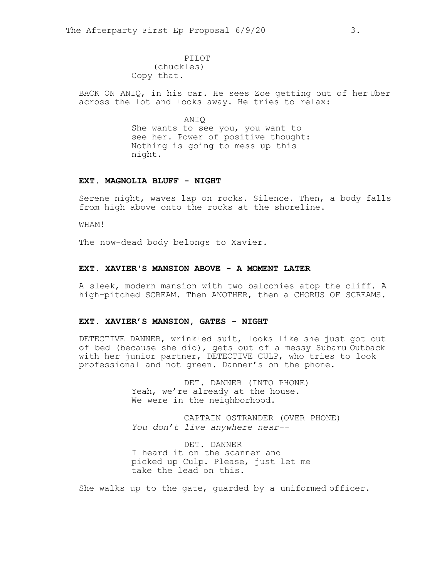PILOT (chuckles) Copy that.

BACK ON ANIQ, in his car. He sees Zoe getting out of her Uber across the lot and looks away. He tries to relax:

> ANIQ She wants to see you, you want to see her. Power of positive thought: Nothing is going to mess up this night.

### **EXT. MAGNOLIA BLUFF - NIGHT**

Serene night, waves lap on rocks. Silence. Then, a body falls from high above onto the rocks at the shoreline.

WHAM!

The now-dead body belongs to Xavier.

#### **EXT. XAVIER'S MANSION ABOVE - A MOMENT LATER**

A sleek, modern mansion with two balconies atop the cliff. A high-pitched SCREAM. Then ANOTHER, then a CHORUS OF SCREAMS.

### **EXT. XAVIER'S MANSION, GATES - NIGHT**

DETECTIVE DANNER, wrinkled suit, looks like she just got out of bed (because she did), gets out of a messy Subaru Outback with her junior partner, DETECTIVE CULP, who tries to look professional and not green. Danner's on the phone.

> DET. DANNER (INTO PHONE) Yeah, we're already at the house. We were in the neighborhood.

CAPTAIN OSTRANDER (OVER PHONE) *You don't live anywhere near--*

DET. DANNER I heard it on the scanner and picked up Culp. Please, just let me take the lead on this.

She walks up to the gate, guarded by a uniformed officer.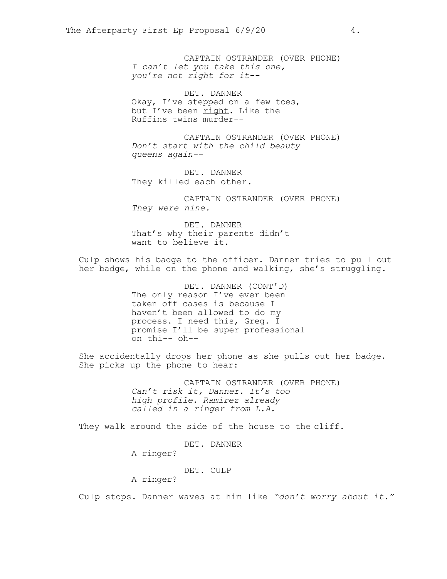CAPTAIN OSTRANDER (OVER PHONE) *I can't let you take this one, you're not right for it--*

DET. DANNER Okay, I've stepped on a few toes, but I've been right. Like the Ruffins twins murder--

CAPTAIN OSTRANDER (OVER PHONE) *Don't start with the child beauty queens again--*

DET. DANNER They killed each other.

CAPTAIN OSTRANDER (OVER PHONE) *They were nine.*

DET. DANNER That's why their parents didn't want to believe it.

Culp shows his badge to the officer. Danner tries to pull out her badge, while on the phone and walking, she's struggling.

> DET. DANNER (CONT'D) The only reason I've ever been taken off cases is because I haven't been allowed to do my process. I need this, Greg. I promise I'll be super professional on thi-- oh--

She accidentally drops her phone as she pulls out her badge. She picks up the phone to hear:

> CAPTAIN OSTRANDER (OVER PHONE) *Can't risk it, Danner. It's too high profile. Ramirez already called in a ringer from L.A.*

They walk around the side of the house to the cliff.

DET. DANNER

A ringer?

DET. CULP

A ringer?

Culp stops. Danner waves at him like *"don't worry about it."*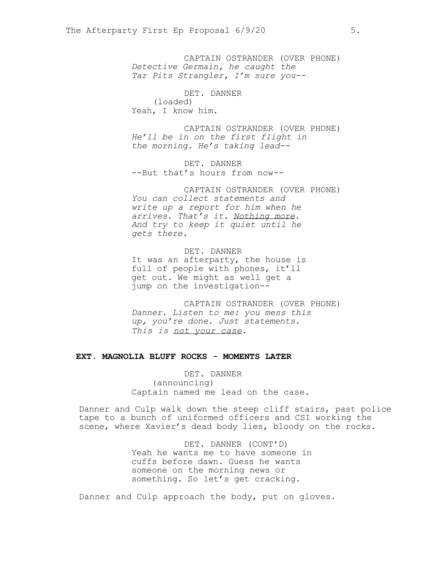CAPTAIN OSTRANDER (OVER PHONE) *Detective Germain, he caught the Tar Pits Strangler, I'm sure you--*

DET. DANNER (loaded) Yeah, I know him.

CAPTAIN OSTRANDER (OVER PHONE) *He'll be in on the first flight in the morning. He's taking lead--*

DET. DANNER --But that's hours from now--

CAPTAIN OSTRANDER (OVER PHONE) *You can collect statements and write up a report for him when he arrives. That's it. Nothing more. And try to keep it quiet until he gets there.*

DET. DANNER It was an afterparty, the house is full of people with phones, it'll get out. We might as well get a jump on the investigation--

CAPTAIN OSTRANDER (OVER PHONE) *Danner. Listen to me: you mess this up, you're done. Just statements. This is not your case.*

#### **EXT. MAGNOLIA BLUFF ROCKS - MOMENTS LATER**

DET. DANNER (announcing) Captain named me lead on the case.

Danner and Culp walk down the steep cliff stairs, past police tape to a bunch of uniformed officers and CSI working the scene, where Xavier's dead body lies, bloody on the rocks.

> DET. DANNER (CONT'D) Yeah he wants me to have someone in cuffs before dawn. Guess he wants someone on the morning news or something. So let's get cracking.

Danner and Culp approach the body, put on gloves.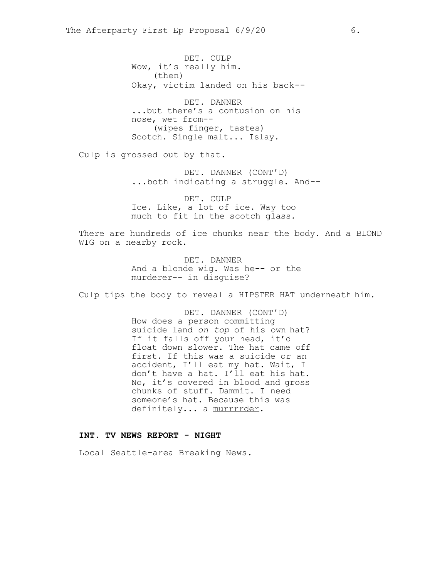DET. CULP Wow, it's really him. (then) Okay, victim landed on his back-- DET. DANNER ...but there's a contusion on his nose, wet from-- (wipes finger, tastes) Scotch. Single malt... Islay.

Culp is grossed out by that.

DET. DANNER (CONT'D) ...both indicating a struggle. And--

DET. CULP Ice. Like, a lot of ice. Way too much to fit in the scotch glass.

There are hundreds of ice chunks near the body. And a BLOND WIG on a nearby rock.

> DET. DANNER And a blonde wig. Was he-- or the murderer-- in disguise?

Culp tips the body to reveal a HIPSTER HAT underneath him.

DET. DANNER (CONT'D) How does a person committing suicide land *on top* of his own hat? If it falls off your head, it'd float down slower. The hat came off first. If this was a suicide or an accident, I'll eat my hat. Wait, I don't have a hat. I'll eat his hat. No, it's covered in blood and gross chunks of stuff. Dammit. I need someone's hat. Because this was definitely... a murrrrder.

#### **INT. TV NEWS REPORT - NIGHT**

Local Seattle-area Breaking News.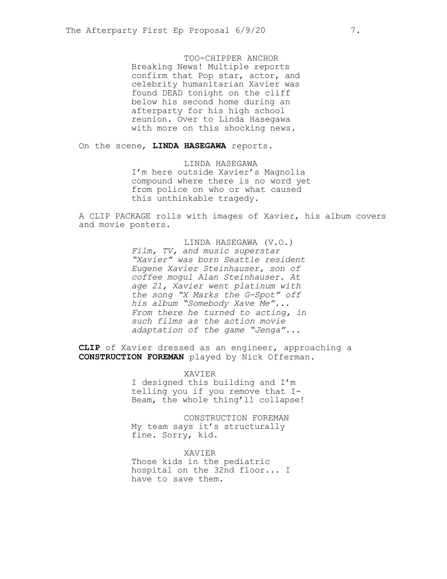TOO-CHIPPER ANCHOR Breaking News! Multiple reports confirm that Pop star, actor, and celebrity humanitarian Xavier was found DEAD tonight on the cliff below his second home during an afterparty for his high school reunion. Over to Linda Hasegawa with more on this shocking news.

On the scene, **LINDA HASEGAWA** reports.

LINDA HASEGAWA I'm here outside Xavier's Magnolia compound where there is no word yet from police on who or what caused this unthinkable tragedy.

A CLIP PACKAGE rolls with images of Xavier, his album covers and movie posters.

> LINDA HASEGAWA (V.O.) *Film, TV, and music superstar "Xavier" was born Seattle resident Eugene Xavier Steinhauser, son of coffee mogul Alan Steinhauser. At age 21, Xavier went platinum with the song "X Marks the G-Spot" off his album "Somebody Xave Me"... From there he turned to acting, in such films as the action movie adaptation of the game "Jenga"...*

**CLIP** of Xavier dressed as an engineer, approaching a **CONSTRUCTION FOREMAN** played by Nick Offerman.

XAVIER

I designed this building and I'm telling you if you remove that I-Beam, the whole thing'll collapse!

CONSTRUCTION FOREMAN My team says it's structurally fine. Sorry, kid.

XAVIER Those kids in the pediatric hospital on the 32nd floor... I have to save them.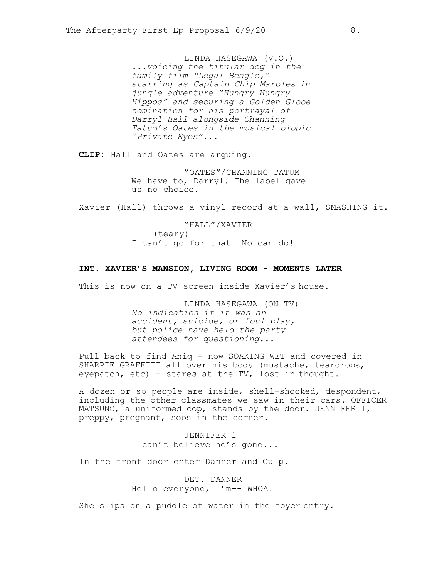LINDA HASEGAWA (V.O.) *...voicing the titular dog in the family film "Legal Beagle," starring as Captain Chip Marbles in jungle adventure "Hungry Hungry Hippos" and securing a Golden Globe nomination for his portrayal of Darryl Hall alongside Channing Tatum's Oates in the musical biopic "Private Eyes"...*

**CLIP:** Hall and Oates are arguing.

"OATES"/CHANNING TATUM We have to, Darryl. The label gave us no choice.

Xavier (Hall) throws a vinyl record at a wall, SMASHING it.

"HALL"/XAVIER (teary) I can't go for that! No can do!

# **INT. XAVIER'S MANSION, LIVING ROOM - MOMENTS LATER**

This is now on a TV screen inside Xavier's house.

LINDA HASEGAWA (ON TV) *No indication if it was an accident, suicide, or foul play, but police have held the party attendees for questioning...*

Pull back to find Aniq - now SOAKING WET and covered in SHARPIE GRAFFITI all over his body (mustache, teardrops, eyepatch, etc) - stares at the TV, lost in thought.

A dozen or so people are inside, shell-shocked, despondent, including the other classmates we saw in their cars. OFFICER MATSUNO, a uniformed cop, stands by the door. JENNIFER 1, preppy, pregnant, sobs in the corner.

> JENNIFER 1 I can't believe he's gone...

In the front door enter Danner and Culp.

DET. DANNER Hello everyone, I'm-- WHOA!

She slips on a puddle of water in the foyer entry.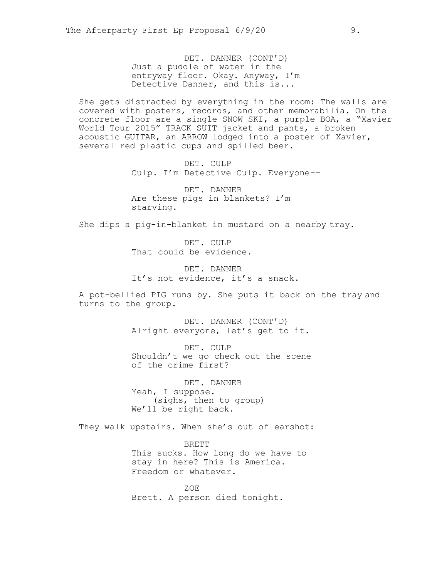DET. DANNER (CONT'D) Just a puddle of water in the entryway floor. Okay. Anyway, I'm Detective Danner, and this is...

She gets distracted by everything in the room: The walls are covered with posters, records, and other memorabilia. On the concrete floor are a single SNOW SKI, a purple BOA, a "Xavier World Tour 2015" TRACK SUIT jacket and pants, a broken acoustic GUITAR, an ARROW lodged into a poster of Xavier, several red plastic cups and spilled beer.

> DET. CULP Culp. I'm Detective Culp. Everyone--

DET. DANNER Are these pigs in blankets? I'm starving.

She dips a pig-in-blanket in mustard on a nearby tray.

DET. CULP That could be evidence.

DET. DANNER It's not evidence, it's a snack.

A pot-bellied PIG runs by. She puts it back on the tray and turns to the group.

> DET. DANNER (CONT'D) Alright everyone, let's get to it.

DET. CULP Shouldn't we go check out the scene of the crime first?

DET. DANNER Yeah, I suppose. (sighs, then to group) We'll be right back.

They walk upstairs. When she's out of earshot:

BRETT This sucks. How long do we have to stay in here? This is America. Freedom or whatever.

ZOE Brett. A person died tonight.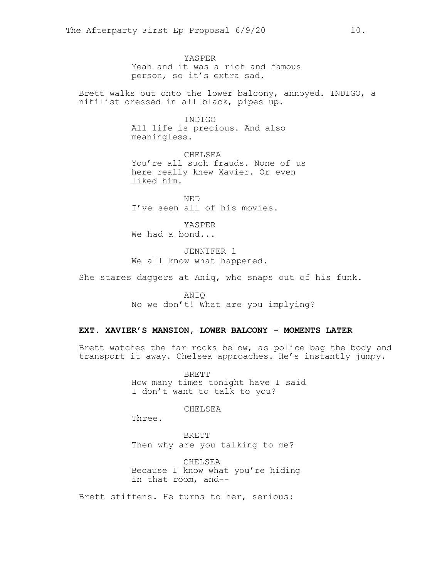YASPER Yeah and it was a rich and famous person, so it's extra sad.

Brett walks out onto the lower balcony, annoyed. INDIGO, a nihilist dressed in all black, pipes up.

> INDIGO All life is precious. And also meaningless.

CHELSEA You're all such frauds. None of us here really knew Xavier. Or even liked him.

NED I've seen all of his movies.

YASPER We had a bond...

JENNIFER 1 We all know what happened.

She stares daggers at Aniq, who snaps out of his funk.

ANIQ No we don't! What are you implying?

### **EXT. XAVIER'S MANSION, LOWER BALCONY - MOMENTS LATER**

Brett watches the far rocks below, as police bag the body and transport it away. Chelsea approaches. He's instantly jumpy.

> BRETT How many times tonight have I said I don't want to talk to you?

> > CHELSEA

Three.

BRETT Then why are you talking to me?

CHELSEA Because I know what you're hiding in that room, and--

Brett stiffens. He turns to her, serious: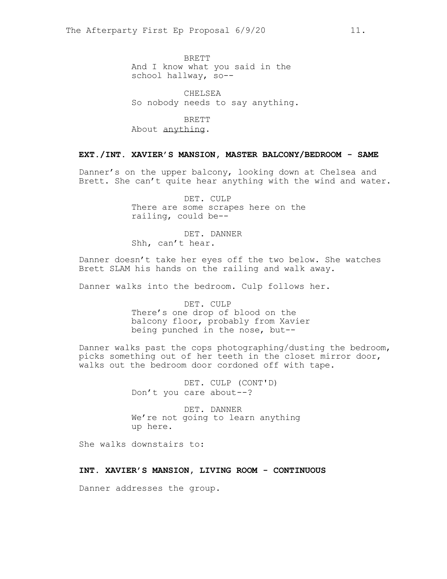BRETT And I know what you said in the school hallway, so--

CHELSEA So nobody needs to say anything.

BRETT About anything.

#### **EXT./INT. XAVIER'S MANSION, MASTER BALCONY/BEDROOM - SAME**

Danner's on the upper balcony, looking down at Chelsea and Brett. She can't quite hear anything with the wind and water.

> DET. CULP There are some scrapes here on the railing, could be--

DET. DANNER Shh, can't hear.

Danner doesn't take her eyes off the two below. She watches Brett SLAM his hands on the railing and walk away.

Danner walks into the bedroom. Culp follows her.

DET. CULP There's one drop of blood on the balcony floor, probably from Xavier being punched in the nose, but--

Danner walks past the cops photographing/dusting the bedroom, picks something out of her teeth in the closet mirror door, walks out the bedroom door cordoned off with tape.

> DET. CULP (CONT'D) Don't you care about--?

DET. DANNER We're not going to learn anything up here.

She walks downstairs to:

### **INT. XAVIER'S MANSION, LIVING ROOM - CONTINUOUS**

Danner addresses the group.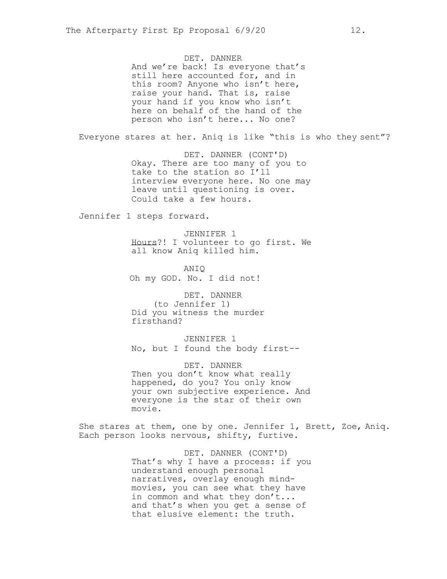DET. DANNER And we're back! Is everyone that's still here accounted for, and in this room? Anyone who isn't here, raise your hand. That is, raise your hand if you know who isn't here on behalf of the hand of the person who isn't here... No one?

Everyone stares at her. Aniq is like "this is who they sent"?

DET. DANNER (CONT'D) Okay. There are too many of you to take to the station so I'll interview everyone here. No one may leave until questioning is over. Could take a few hours.

Jennifer 1 steps forward.

JENNIFER 1 Hours?! I volunteer to go first. We all know Aniq killed him.

ANIQ Oh my GOD. No. I did not!

DET. DANNER (to Jennifer 1) Did you witness the murder firsthand?

JENNIFER 1 No, but I found the body first--

DET. DANNER Then you don't know what really happened, do you? You only know your own subjective experience. And everyone is the star of their own movie.

She stares at them, one by one. Jennifer 1, Brett, Zoe, Aniq. Each person looks nervous, shifty, furtive.

> DET. DANNER (CONT'D) That's why I have a process: if you understand enough personal narratives, overlay enough mindmovies, you can see what they have in common and what they don't... and that's when you get a sense of that elusive element: the truth.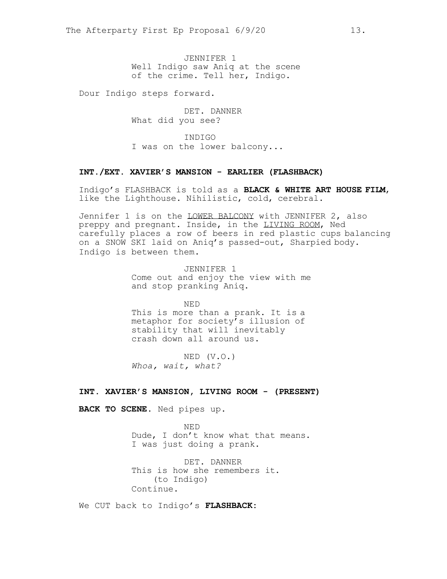JENNIFER 1 Well Indigo saw Aniq at the scene of the crime. Tell her, Indigo.

Dour Indigo steps forward.

DET. DANNER What did you see?

INDIGO I was on the lower balcony...

#### **INT./EXT. XAVIER'S MANSION - EARLIER (FLASHBACK)**

Indigo's FLASHBACK is told as a **BLACK & WHITE ART HOUSE FILM**, like the Lighthouse. Nihilistic, cold, cerebral.

Jennifer 1 is on the LOWER BALCONY with JENNIFER 2, also preppy and pregnant. Inside, in the LIVING ROOM, Ned carefully places a row of beers in red plastic cups balancing on a SNOW SKI laid on Aniq's passed-out, Sharpied body. Indigo is between them.

> JENNIFER 1 Come out and enjoy the view with me and stop pranking Aniq.

> > NED

This is more than a prank. It is a metaphor for society's illusion of stability that will inevitably crash down all around us.

NED (V.O.) *Whoa, wait, what?*

#### **INT. XAVIER'S MANSION, LIVING ROOM - (PRESENT)**

**BACK TO SCENE.** Ned pipes up.

NED Dude, I don't know what that means. I was just doing a prank.

DET. DANNER This is how she remembers it. (to Indigo) Continue.

We CUT back to Indigo's **FLASHBACK:**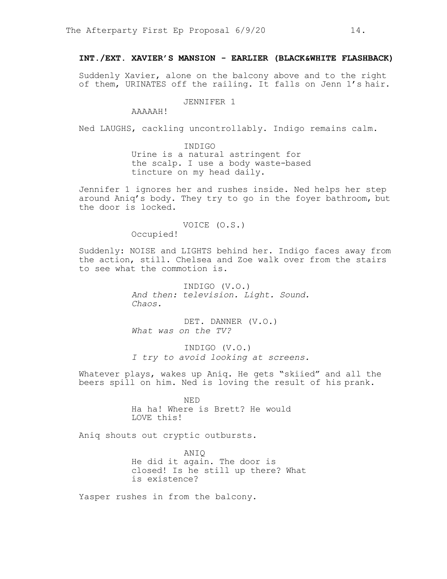#### **INT./EXT. XAVIER'S MANSION - EARLIER (BLACK&WHITE FLASHBACK)**

Suddenly Xavier, alone on the balcony above and to the right of them, URINATES off the railing. It falls on Jenn 1's hair.

#### JENNIFER 1

AAAAAH!

Ned LAUGHS, cackling uncontrollably. Indigo remains calm.

INDIGO Urine is a natural astringent for the scalp. I use a body waste-based tincture on my head daily.

Jennifer 1 ignores her and rushes inside. Ned helps her step around Aniq's body. They try to go in the foyer bathroom, but the door is locked.

# VOICE (O.S.)

Occupied!

Suddenly: NOISE and LIGHTS behind her. Indigo faces away from the action, still. Chelsea and Zoe walk over from the stairs to see what the commotion is.

> INDIGO (V.O.) *And then: television. Light. Sound. Chaos.*

DET. DANNER (V.O.) *What was on the TV?*

INDIGO (V.O.) *I try to avoid looking at screens.*

Whatever plays, wakes up Aniq. He gets "skiied" and all the beers spill on him. Ned is loving the result of his prank.

> NED Ha ha! Where is Brett? He would LOVE this!

Aniq shouts out cryptic outbursts.

ANIQ He did it again. The door is closed! Is he still up there? What is existence?

Yasper rushes in from the balcony.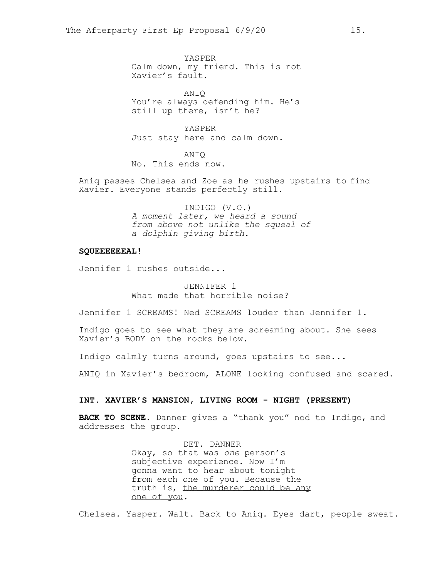YASPER Calm down, my friend. This is not Xavier's fault.

ANIQ You're always defending him. He's still up there, isn't he?

YASPER Just stay here and calm down.

ANIQ No. This ends now.

Aniq passes Chelsea and Zoe as he rushes upstairs to find Xavier. Everyone stands perfectly still.

> INDIGO (V.O.) *A moment later, we heard a sound from above not unlike the squeal of a dolphin giving birth.*

#### **SQUEEEEEEAL!**

Jennifer 1 rushes outside...

JENNIFER 1 What made that horrible noise?

Jennifer 1 SCREAMS! Ned SCREAMS louder than Jennifer 1.

Indigo goes to see what they are screaming about. She sees Xavier's BODY on the rocks below.

Indigo calmly turns around, goes upstairs to see...

ANIQ in Xavier's bedroom, ALONE looking confused and scared.

# **INT. XAVIER'S MANSION, LIVING ROOM - NIGHT (PRESENT)**

BACK TO SCENE. Danner gives a "thank you" nod to Indigo, and addresses the group.

> DET. DANNER Okay, so that was *one* person's subjective experience. Now I'm gonna want to hear about tonight from each one of you. Because the truth is, the murderer could be any one of you.

Chelsea. Yasper. Walt. Back to Aniq. Eyes dart, people sweat.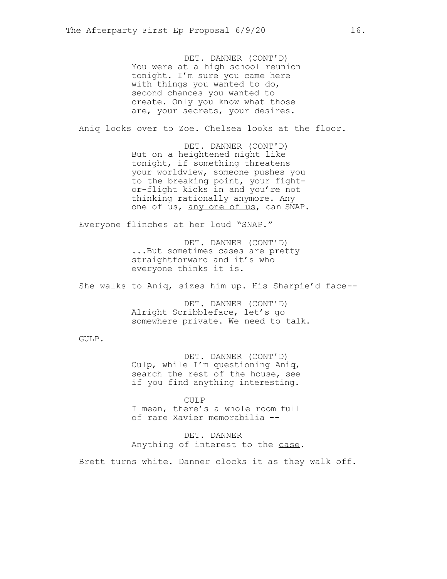DET. DANNER (CONT'D) You were at a high school reunion tonight. I'm sure you came here with things you wanted to do, second chances you wanted to create. Only you know what those are, your secrets, your desires.

Aniq looks over to Zoe. Chelsea looks at the floor.

DET. DANNER (CONT'D) But on a heightened night like tonight, if something threatens your worldview, someone pushes you to the breaking point, your fightor-flight kicks in and you're not thinking rationally anymore. Any one of us, any one of us, can SNAP.

Everyone flinches at her loud "SNAP."

DET. DANNER (CONT'D) ...But sometimes cases are pretty straightforward and it's who everyone thinks it is.

She walks to Aniq, sizes him up. His Sharpie'd face--

DET. DANNER (CONT'D) Alright Scribbleface, let's go somewhere private. We need to talk.

### GULP.

DET. DANNER (CONT'D) Culp, while I'm questioning Aniq, search the rest of the house, see if you find anything interesting.

CULP I mean, there's a whole room full of rare Xavier memorabilia --

DET. DANNER Anything of interest to the case.

Brett turns white. Danner clocks it as they walk off.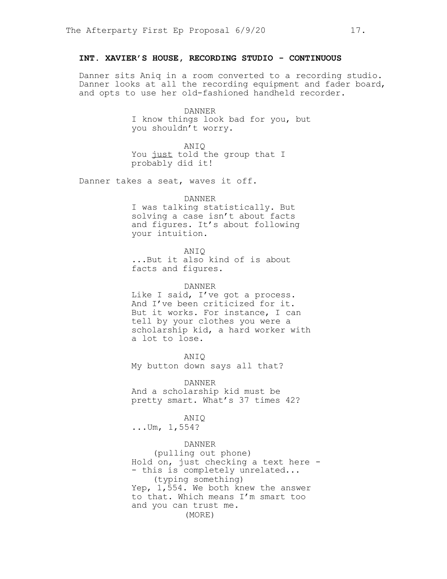### **INT. XAVIER'S HOUSE, RECORDING STUDIO - CONTINUOUS**

Danner sits Aniq in a room converted to a recording studio. Danner looks at all the recording equipment and fader board, and opts to use her old-fashioned handheld recorder.

> DANNER I know things look bad for you, but you shouldn't worry.

ANIQ You just told the group that I probably did it!

Danner takes a seat, waves it off.

DANNER I was talking statistically. But solving a case isn't about facts

and figures. It's about following your intuition.

ANIQ ...But it also kind of is about facts and figures.

DANNER Like I said, I've got a process. And I've been criticized for it. But it works. For instance, I can tell by your clothes you were a scholarship kid, a hard worker with a lot to lose.

ANIQ My button down says all that?

DANNER And a scholarship kid must be pretty smart. What's 37 times 42?

ANIQ

...Um, 1,554?

### DANNER

(pulling out phone) Hold on, just checking a text here - - this is completely unrelated... (typing something) Yep, 1,554. We both knew the answer to that. Which means I'm smart too and you can trust me. (MORE)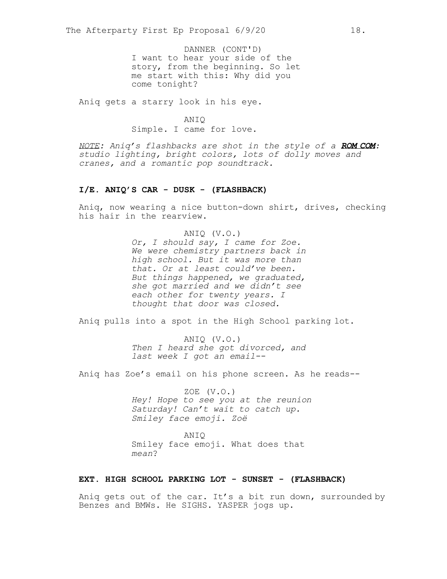DANNER (CONT'D) I want to hear your side of the story, from the beginning. So let me start with this: Why did you come tonight?

Aniq gets a starry look in his eye.

ANIQ Simple. I came for love.

*NOTE: Aniq's flashbacks are shot in the style of a ROM COM: studio lighting, bright colors, lots of dolly moves and cranes, and a romantic pop soundtrack.*

#### **I/E. ANIQ'S CAR - DUSK - (FLASHBACK)**

Aniq, now wearing a nice button-down shirt, drives, checking his hair in the rearview.

> ANIQ (V.O.) *Or, I should say, I came for Zoe. We were chemistry partners back in high school. But it was more than that. Or at least could've been. But things happened, we graduated, she got married and we didn't see each other for twenty years. I thought that door was closed.*

Aniq pulls into a spot in the High School parking lot.

ANIQ (V.O.) *Then I heard she got divorced, and last week I got an email--*

Aniq has Zoe's email on his phone screen. As he reads--

ZOE (V.O.) *Hey! Hope to see you at the reunion Saturday! Can't wait to catch up. Smiley face emoji. Zoë*

ANIQ Smiley face emoji. What does that *mean*?

#### **EXT. HIGH SCHOOL PARKING LOT - SUNSET - (FLASHBACK)**

Aniq gets out of the car. It's a bit run down, surrounded by Benzes and BMWs. He SIGHS. YASPER jogs up.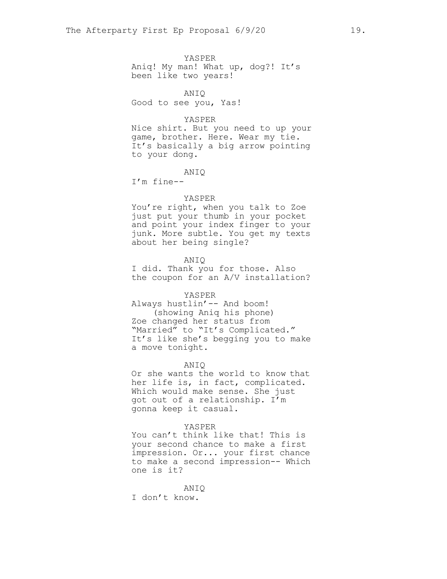YASPER Aniq! My man! What up, dog?! It's been like two years!

ANIQ Good to see you, Yas!

#### YASPER

Nice shirt. But you need to up your game, brother. Here. Wear my tie. It's basically a big arrow pointing to your dong.

#### ANIQ

I'm fine--

#### YASPER

You're right, when you talk to Zoe just put your thumb in your pocket and point your index finger to your junk. More subtle. You get my texts about her being single?

#### ANIQ

I did. Thank you for those. Also the coupon for an A/V installation?

#### YASPER

Always hustlin'-- And boom! (showing Aniq his phone) Zoe changed her status from "Married" to "It's Complicated." It's like she's begging you to make a move tonight.

#### ANIQ

Or she wants the world to know that her life is, in fact, complicated. Which would make sense. She just got out of a relationship. I'm gonna keep it casual.

#### YASPER

You can't think like that! This is your second chance to make a first impression. Or... your first chance to make a second impression-- Which one is it?

ANIQ

I don't know.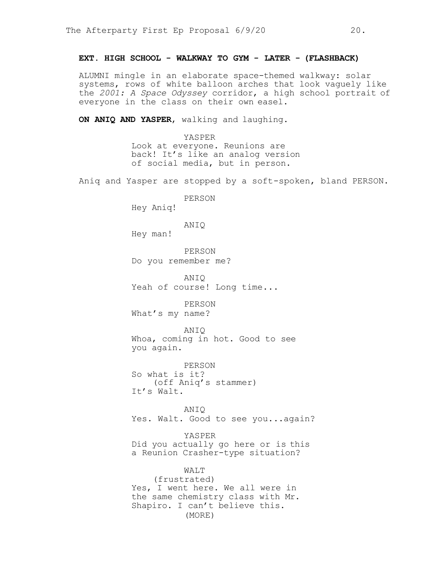#### **EXT. HIGH SCHOOL - WALKWAY TO GYM - LATER - (FLASHBACK)**

ALUMNI mingle in an elaborate space-themed walkway: solar systems, rows of white balloon arches that look vaguely like the *2001: A Space Odyssey* corridor, a high school portrait of everyone in the class on their own easel.

**ON ANIQ AND YASPER**, walking and laughing.

YASPER Look at everyone. Reunions are back! It's like an analog version of social media, but in person.

Aniq and Yasper are stopped by a soft-spoken, bland PERSON.

PERSON

Hey Aniq!

# ANIQ

Hey man!

PERSON Do you remember me?

ANIQ Yeah of course! Long time...

PERSON What's my name?

ANIQ Whoa, coming in hot. Good to see you again.

PERSON So what is it? (off Aniq's stammer) It's Walt.

ANIQ Yes. Walt. Good to see you...again?

YASPER Did you actually go here or is this a Reunion Crasher-type situation?

WALT (frustrated) Yes, I went here. We all were in the same chemistry class with Mr. Shapiro. I can't believe this. (MORE)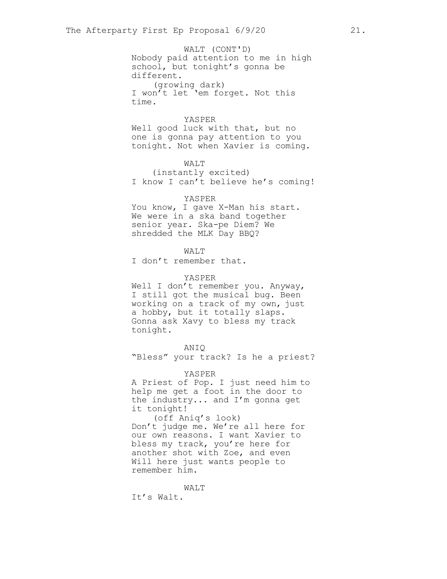WALT (CONT'D) Nobody paid attention to me in high school, but tonight's gonna be different. (growing dark) I won't let 'em forget. Not this time.

#### YASPER

Well good luck with that, but no one is gonna pay attention to you tonight. Not when Xavier is coming.

#### WALT

(instantly excited) I know I can't believe he's coming!

#### YASPER

You know, I gave X-Man his start. We were in a ska band together senior year. Ska-pe Diem? We shredded the MLK Day BBQ?

WAT.T

I don't remember that.

#### YASPER

Well I don't remember you. Anyway, I still got the musical bug. Been working on a track of my own, just a hobby, but it totally slaps. Gonna ask Xavy to bless my track tonight.

ANIQ

"Bless" your track? Is he a priest?

#### YASPER

A Priest of Pop. I just need him to help me get a foot in the door to the industry... and I'm gonna get it tonight!

(off Aniq's look) Don't judge me. We're all here for our own reasons. I want Xavier to bless my track, you're here for another shot with Zoe, and even Will here just wants people to remember him.

WALT It's Walt.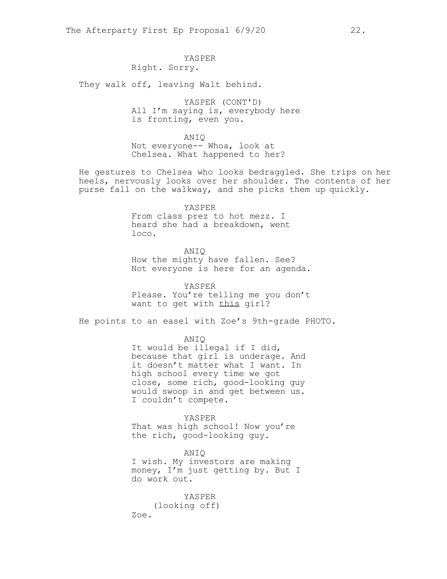# YASPER

Right. Sorry.

They walk off, leaving Walt behind.

YASPER (CONT'D) All I'm saying is, everybody here is fronting, even you.

ANIQ Not everyone-- Whoa, look at Chelsea. What happened to her?

He gestures to Chelsea who looks bedraggled. She trips on her heels, nervously looks over her shoulder. The contents of her purse fall on the walkway, and she picks them up quickly.

### YASPER From class prez to hot mezz. I heard she had a breakdown, went loco.

ANIQ How the mighty have fallen. See? Not everyone is here for an agenda.

YASPER Please. You're telling me you don't want to get with this girl?

He points to an easel with Zoe's 9th-grade PHOTO.

ANIQ

It would be illegal if I did, because that girl is underage. And it doesn't matter what I want. In high school every time we got close, some rich, good-looking guy would swoop in and get between us. I couldn't compete.

#### YASPER

That was high school! Now you're the rich, good-looking guy.

ANIQ I wish. My investors are making money, I'm just getting by. But I do work out.

YASPER (looking off) Zoe.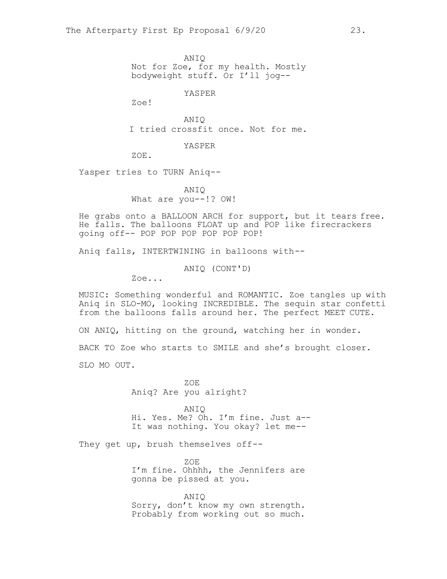ANIQ Not for Zoe, for my health. Mostly bodyweight stuff. Or I'll jog--

YASPER

Zoe!

ANIQ I tried crossfit once. Not for me.

YASPER

ZOE.

Yasper tries to TURN Aniq--

ANIQ What are you--!? OW!

He grabs onto a BALLOON ARCH for support, but it tears free. He falls. The balloons FLOAT up and POP like firecrackers going off-- POP POP POP POP POP POP!

Aniq falls, INTERTWINING in balloons with--

ANIQ (CONT'D)

Zoe...

MUSIC: Something wonderful and ROMANTIC. Zoe tangles up with Aniq in SLO-MO, looking INCREDIBLE. The sequin star confetti from the balloons falls around her. The perfect MEET CUTE.

ON ANIQ, hitting on the ground, watching her in wonder.

BACK TO Zoe who starts to SMILE and she's brought closer.

SLO MO OUT.

ZOE Aniq? Are you alright?

ANIQ Hi. Yes. Me? Oh. I'm fine. Just a-- It was nothing. You okay? let me--

They get up, brush themselves off--

 $Z$ OE I'm fine. Ohhhh, the Jennifers are gonna be pissed at you.

ANIQ Sorry, don't know my own strength. Probably from working out so much.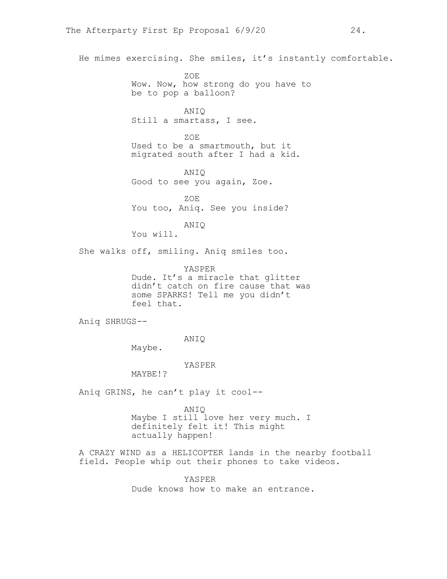He mimes exercising. She smiles, it's instantly comfortable.

ZOE Wow. Now, how strong do you have to be to pop a balloon?

ANIQ Still a smartass, I see.

ZOE Used to be a smartmouth, but it migrated south after I had a kid.

ANIQ Good to see you again, Zoe.

ZOE You too, Aniq. See you inside?

ANIQ

You will.

She walks off, smiling. Aniq smiles too.

YASPER Dude. It's a miracle that glitter didn't catch on fire cause that was some SPARKS! Tell me you didn't feel that.

Aniq SHRUGS--

ANIQ

Maybe.

YASPER

MAYBE!?

Aniq GRINS, he can't play it cool--

ANIQ Maybe I still love her very much. I definitely felt it! This might actually happen!

A CRAZY WIND as a HELICOPTER lands in the nearby football field. People whip out their phones to take videos.

> YASPER Dude knows how to make an entrance.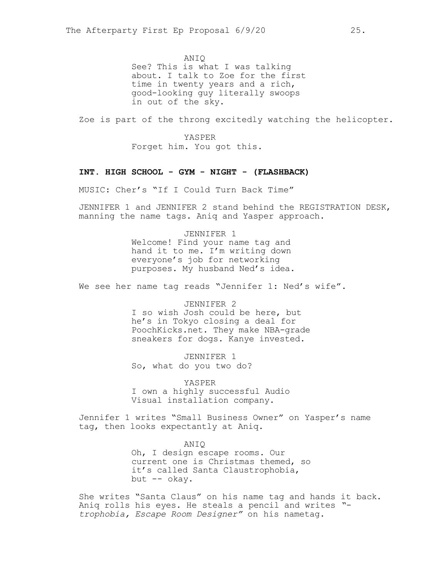ANIQ See? This is what I was talking about. I talk to Zoe for the first time in twenty years and a rich, good-looking guy literally swoops in out of the sky.

Zoe is part of the throng excitedly watching the helicopter.

YASPER Forget him. You got this.

### **INT. HIGH SCHOOL - GYM - NIGHT - (FLASHBACK)**

MUSIC: Cher's "If I Could Turn Back Time"

JENNIFER 1 and JENNIFER 2 stand behind the REGISTRATION DESK, manning the name tags. Aniq and Yasper approach.

> JENNIFER 1 Welcome! Find your name tag and hand it to me. I'm writing down everyone's job for networking purposes. My husband Ned's idea.

We see her name tag reads "Jennifer 1: Ned's wife".

JENNIFER 2 I so wish Josh could be here, but he's in Tokyo closing a deal for PoochKicks.net. They make NBA-grade sneakers for dogs. Kanye invested.

JENNIFER 1 So, what do you two do?

YASPER I own a highly successful Audio Visual installation company.

Jennifer 1 writes "Small Business Owner" on Yasper's name tag, then looks expectantly at Aniq.

> ANIQ Oh, I design escape rooms. Our current one is Christmas themed, so it's called Santa Claustrophobia, but -- okay.

She writes "Santa Claus" on his name tag and hands it back. Aniq rolls his eyes. He steals a pencil and writes *" trophobia, Escape Room Designer"* on his nametag.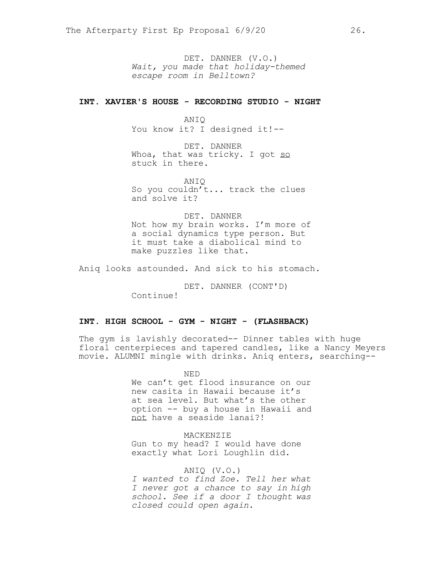DET. DANNER (V.O.) *Wait, you made that holiday-themed escape room in Belltown?*

**INT. XAVIER'S HOUSE - RECORDING STUDIO - NIGHT**

ANIQ You know it? I designed it!--

DET. DANNER Whoa, that was tricky. I got so stuck in there.

ANIQ So you couldn't... track the clues and solve it?

DET. DANNER Not how my brain works. I'm more of a social dynamics type person. But it must take a diabolical mind to make puzzles like that.

Aniq looks astounded. And sick to his stomach.

DET. DANNER (CONT'D)

Continue!

# **INT. HIGH SCHOOL - GYM - NIGHT - (FLASHBACK)**

The gym is lavishly decorated-- Dinner tables with huge floral centerpieces and tapered candles, like a Nancy Meyers movie. ALUMNI mingle with drinks. Aniq enters, searching--

> NED We can't get flood insurance on our new casita in Hawaii because it's at sea level. But what's the other option -- buy a house in Hawaii and not have a seaside lanai?!

#### MACKENZIE

Gun to my head? I would have done exactly what Lori Loughlin did.

### ANIQ (V.O.)

*I wanted to find Zoe. Tell her what I never got a chance to say in high school. See if a door I thought was closed could open again.*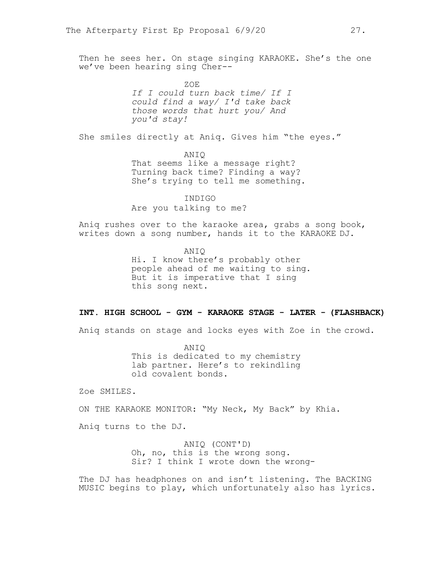Then he sees her. On stage singing KARAOKE. She's the one we've been hearing sing Cher--

> ZOE *If I could turn back time/ If I could find a way/ I'd take back those words that hurt you/ And you'd stay!*

She smiles directly at Aniq. Gives him "the eyes."

ANIQ That seems like a message right? Turning back time? Finding a way? She's trying to tell me something.

INDIGO

Are you talking to me?

Aniq rushes over to the karaoke area, grabs a song book, writes down a song number, hands it to the KARAOKE DJ.

> ANIQ Hi. I know there's probably other people ahead of me waiting to sing. But it is imperative that I sing this song next.

#### **INT. HIGH SCHOOL - GYM - KARAOKE STAGE - LATER - (FLASHBACK)**

Aniq stands on stage and locks eyes with Zoe in the crowd.

ANIQ This is dedicated to my chemistry lab partner. Here's to rekindling old covalent bonds.

Zoe SMILES.

ON THE KARAOKE MONITOR: "My Neck, My Back" by Khia.

Aniq turns to the DJ.

ANIQ (CONT'D) Oh, no, this is the wrong song. Sir? I think I wrote down the wrong-

The DJ has headphones on and isn't listening. The BACKING MUSIC begins to play, which unfortunately also has lyrics.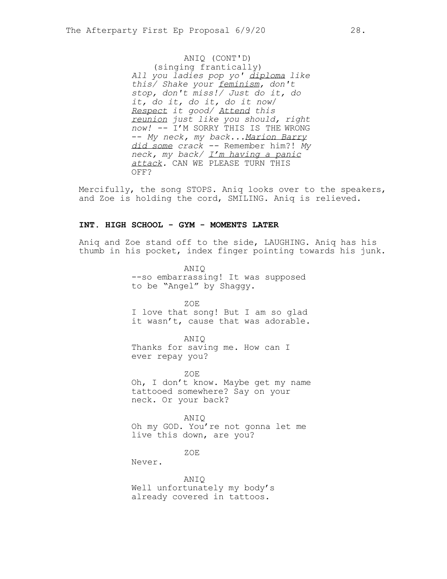ANIQ (CONT'D) (singing frantically) *All you ladies pop yo' diploma like this/ Shake your feminism, don't stop, don't miss!/ Just do it, do it, do it, do it, do it now*/ *Respect it good/ Attend this reunion just like you should, right now! --* I'M SORRY THIS IS THE WRONG -- *My neck, my back...Marion Barry did some crack --* Remember him?! *My neck, my back/ I'm having a panic attack.* CAN WE PLEASE TURN THIS OFF?

Mercifully, the song STOPS. Aniq looks over to the speakers, and Zoe is holding the cord, SMILING. Aniq is relieved.

### **INT. HIGH SCHOOL - GYM - MOMENTS LATER**

Aniq and Zoe stand off to the side, LAUGHING. Aniq has his thumb in his pocket, index finger pointing towards his junk.

> ANIQ --so embarrassing! It was supposed to be "Angel" by Shaggy.

ZOE I love that song! But I am so glad it wasn't, cause that was adorable.

ANIQ Thanks for saving me. How can I ever repay you?

ZOE

Oh, I don't know. Maybe get my name tattooed somewhere? Say on your neck. Or your back?

ANIQ Oh my GOD. You're not gonna let me live this down, are you?

ZOE

Never.

ANIQ Well unfortunately my body's already covered in tattoos.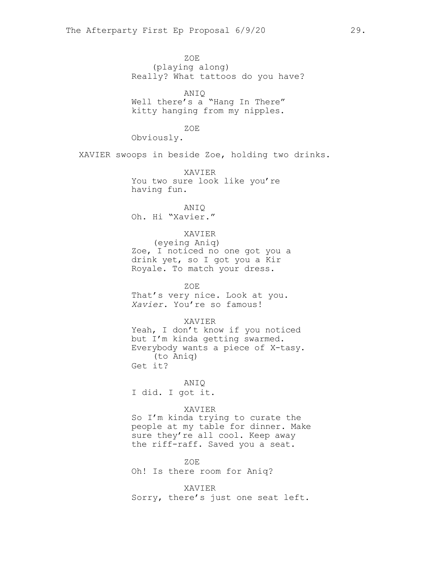ZOE (playing along) Really? What tattoos do you have?

ANIQ Well there's a "Hang In There" kitty hanging from my nipples.

ZOE Obviously.

XAVIER swoops in beside Zoe, holding two drinks.

XAVIER You two sure look like you're having fun.

ANIQ Oh. Hi "Xavier."

### XAVIER

(eyeing Aniq) Zoe, I noticed no one got you a drink yet, so I got you a Kir Royale. To match your dress.

ZOE That's very nice. Look at you. *Xavier*. You're so famous!

XAVIER

Yeah, I don't know if you noticed but I'm kinda getting swarmed. Everybody wants a piece of X-tasy. (to Aniq) Get it?

ANIQ I did. I got it.

#### XAVIER

So I'm kinda trying to curate the people at my table for dinner. Make sure they're all cool. Keep away the riff-raff. Saved you a seat.

ZOE

Oh! Is there room for Aniq?

XAVIER

Sorry, there's just one seat left.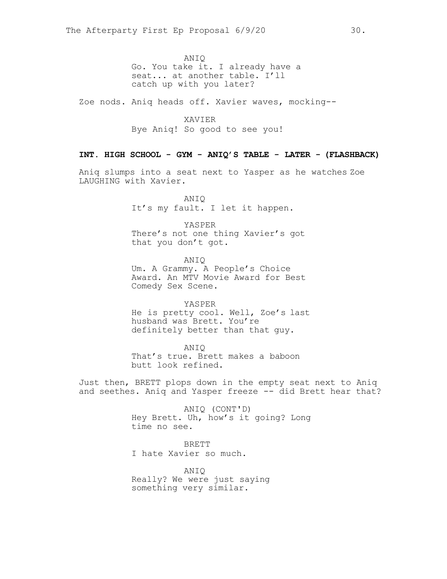ANIQ Go. You take it. I already have a seat... at another table. I'll catch up with you later?

Zoe nods. Aniq heads off. Xavier waves, mocking--

XAVIER Bye Aniq! So good to see you!

### **INT. HIGH SCHOOL - GYM - ANIQ'S TABLE - LATER - (FLASHBACK)**

Aniq slumps into a seat next to Yasper as he watches Zoe LAUGHING with Xavier.

> ANIQ It's my fault. I let it happen.

YASPER There's not one thing Xavier's got that you don't got.

ANIQ Um. A Grammy. A People's Choice Award. An MTV Movie Award for Best Comedy Sex Scene.

YASPER He is pretty cool. Well, Zoe's last husband was Brett. You're definitely better than that guy.

ANIQ That's true. Brett makes a baboon butt look refined.

Just then, BRETT plops down in the empty seat next to Aniq and seethes. Aniq and Yasper freeze -- did Brett hear that?

> ANIQ (CONT'D) Hey Brett. Uh, how's it going? Long time no see.

BRETT I hate Xavier so much.

ANIQ Really? We were just saying something very similar.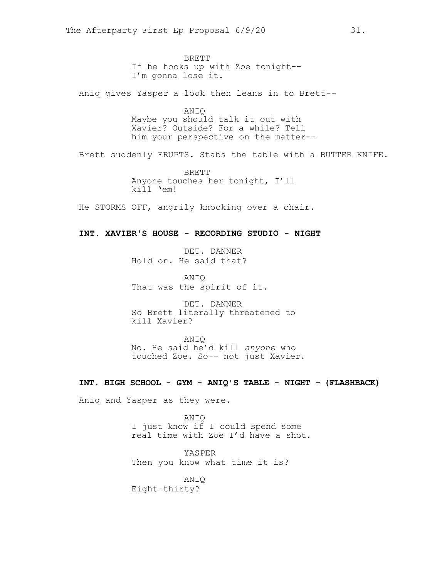BRETT If he hooks up with Zoe tonight-- I'm gonna lose it.

Aniq gives Yasper a look then leans in to Brett--

ANIQ Maybe you should talk it out with Xavier? Outside? For a while? Tell him your perspective on the matter--

Brett suddenly ERUPTS. Stabs the table with a BUTTER KNIFE.

BRETT Anyone touches her tonight, I'll kill 'em!

He STORMS OFF, angrily knocking over a chair.

#### **INT. XAVIER'S HOUSE - RECORDING STUDIO - NIGHT**

DET. DANNER Hold on. He said that?

ANIQ That was the spirit of it.

DET. DANNER So Brett literally threatened to kill Xavier?

ANIQ No. He said he'd kill *anyone* who touched Zoe. So-- not just Xavier.

**INT. HIGH SCHOOL - GYM - ANIQ'S TABLE - NIGHT - (FLASHBACK)**

Aniq and Yasper as they were.

ANIQ I just know if I could spend some real time with Zoe I'd have a shot.

YASPER Then you know what time it is?

ANIQ Eight-thirty?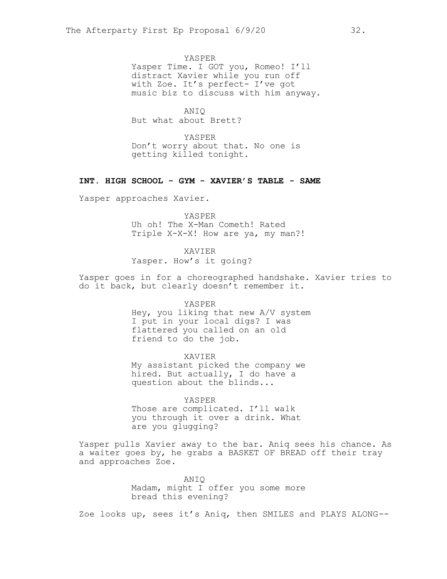YASPER Yasper Time. I GOT you, Romeo! I'll distract Xavier while you run off with Zoe. It's perfect- I've got music biz to discuss with him anyway.

ANIQ But what about Brett?

YASPER Don't worry about that. No one is getting killed tonight.

### **INT. HIGH SCHOOL - GYM - XAVIER'S TABLE - SAME**

Yasper approaches Xavier.

YASPER Uh oh! The X-Man Cometh! Rated Triple X-X-X! How are ya, my man?!

#### XAVIER

Yasper. How's it going?

Yasper goes in for a choreographed handshake. Xavier tries to do it back, but clearly doesn't remember it.

#### YASPER

Hey, you liking that new A/V system I put in your local digs? I was flattered you called on an old friend to do the job.

XAVIER

My assistant picked the company we hired. But actually, I do have a question about the blinds...

YASPER Those are complicated. I'll walk you through it over a drink. What are you glugging?

Yasper pulls Xavier away to the bar. Aniq sees his chance. As a waiter goes by, he grabs a BASKET OF BREAD off their tray and approaches Zoe.

> ANIQ Madam, might I offer you some more bread this evening?

Zoe looks up, sees it's Aniq, then SMILES and PLAYS ALONG--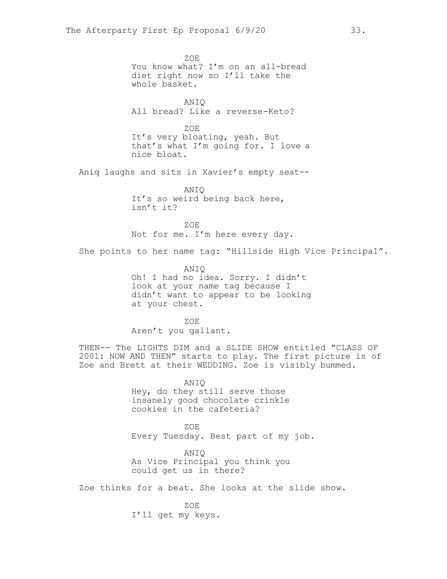ZOE You know what? I'm on an all-bread diet right now so I'll take the whole basket. ANIQ All bread? Like a reverse-Keto? ZOE It's very bloating, yeah. But that's what I'm going for. I love a nice bloat. Aniq laughs and sits in Xavier's empty seat-- ANIQ It's so weird being back here, isn't it? ZOE Not for me. I'm here every day. She points to her name tag: "Hillside High Vice Principal". ANIQ Oh! I had no idea. Sorry. I didn't look at your name tag because I didn't want to appear to be looking at your chest. ZOE Aren't you gallant. THEN-- The LIGHTS DIM and a SLIDE SHOW entitled "CLASS OF 2001: NOW AND THEN" starts to play. The first picture is of Zoe and Brett at their WEDDING. Zoe is visibly bummed. ANIQ Hey, do they still serve those insanely good chocolate crinkle cookies in the cafeteria? ZOE

Every Tuesday. Best part of my job.

ANIQ As Vice Principal you think you could get us in there?

Zoe thinks for a beat. She looks at the slide show.

ZOE I'll get my keys.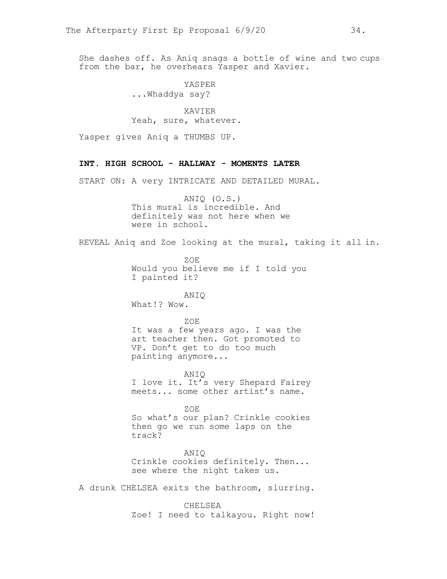She dashes off. As Aniq snags a bottle of wine and two cups from the bar, he overhears Yasper and Xavier.

# YASPER ...Whaddya say?

XAVIER Yeah, sure, whatever.

Yasper gives Aniq a THUMBS UP.

#### **INT. HIGH SCHOOL - HALLWAY - MOMENTS LATER**

START ON: A very INTRICATE AND DETAILED MURAL.

ANIQ (O.S.) This mural is incredible. And definitely was not here when we were in school.

REVEAL Aniq and Zoe looking at the mural, taking it all in.

ZOE Would you believe me if I told you I painted it?

ANIQ What!? Wow.

### ZOE

It was a few years ago. I was the art teacher then. Got promoted to VP. Don't get to do too much painting anymore...

ANIQ I love it. It's very Shepard Fairey meets... some other artist's name.

ZOE So what's our plan? Crinkle cookies then go we run some laps on the track?

ANIQ Crinkle cookies definitely. Then... see where the night takes us.

A drunk CHELSEA exits the bathroom, slurring.

CHELSEA Zoe! I need to talkayou. Right now!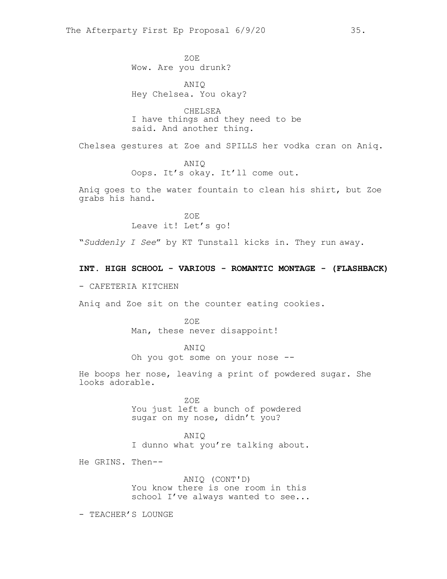ZOE Wow. Are you drunk?

ANIQ Hey Chelsea. You okay?

CHELSEA I have things and they need to be said. And another thing.

Chelsea gestures at Zoe and SPILLS her vodka cran on Aniq.

ANIQ Oops. It's okay. It'll come out.

Aniq goes to the water fountain to clean his shirt, but Zoe grabs his hand.

> ZOE Leave it! Let's go!

"*Suddenly I See*" by KT Tunstall kicks in. They run away.

**INT. HIGH SCHOOL - VARIOUS - ROMANTIC MONTAGE - (FLASHBACK)**

- CAFETERIA KITCHEN

Aniq and Zoe sit on the counter eating cookies.

ZOE Man, these never disappoint!

ANIQ

Oh you got some on your nose --

He boops her nose, leaving a print of powdered sugar. She looks adorable.

> $Z$  $\cap$ F. You just left a bunch of powdered sugar on my nose, didn't you?

ANIQ I dunno what you're talking about.

He GRINS. Then--

ANIQ (CONT'D) You know there is one room in this school I've always wanted to see...

- TEACHER'S LOUNGE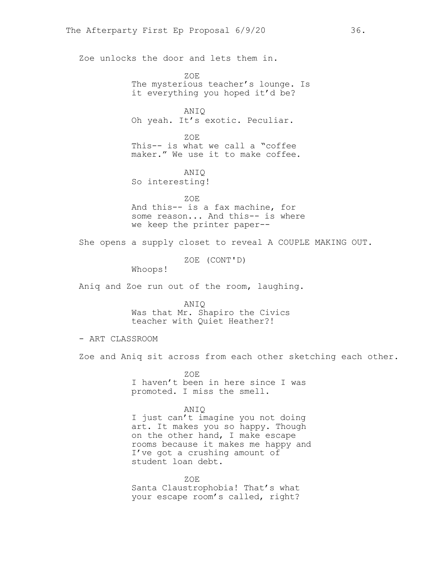Zoe unlocks the door and lets them in.

 $Z$   $\cap$   $E$ . The mysterious teacher's lounge. Is it everything you hoped it'd be?

ANIQ Oh yeah. It's exotic. Peculiar.

ZOE This-- is what we call a "coffee maker." We use it to make coffee.

# ANIQ

So interesting!

ZOE And this-- is a fax machine, for some reason... And this-- is where we keep the printer paper--

She opens a supply closet to reveal A COUPLE MAKING OUT.

ZOE (CONT'D)

Whoops!

Aniq and Zoe run out of the room, laughing.

ANIQ Was that Mr. Shapiro the Civics teacher with Quiet Heather?!

- ART CLASSROOM

Zoe and Aniq sit across from each other sketching each other.

ZOE I haven't been in here since I was promoted. I miss the smell.

### ANIQ

I just can't imagine you not doing art. It makes you so happy. Though on the other hand, I make escape rooms because it makes me happy and I've got a crushing amount of student loan debt.

ZOE Santa Claustrophobia! That's what your escape room's called, right?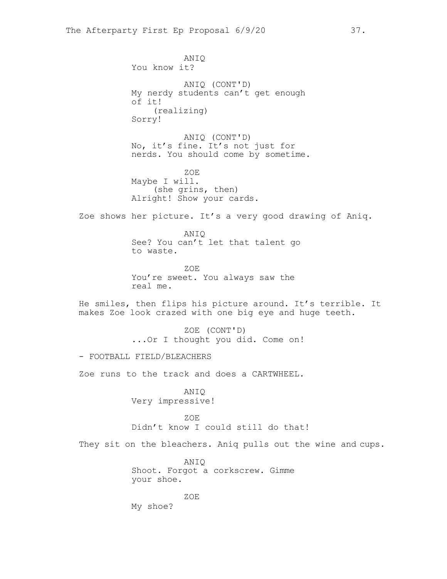ANIQ You know it? ANIQ (CONT'D) My nerdy students can't get enough of it! (realizing) Sorry! ANIQ (CONT'D) No, it's fine. It's not just for nerds. You should come by sometime. ZOE Maybe I will. (she grins, then) Alright! Show your cards. Zoe shows her picture. It's a very good drawing of Aniq. ANIQ See? You can't let that talent go to waste. ZOE You're sweet. You always saw the real me. He smiles, then flips his picture around. It's terrible. It makes Zoe look crazed with one big eye and huge teeth. ZOE (CONT'D) ...Or I thought you did. Come on! - FOOTBALL FIELD/BLEACHERS Zoe runs to the track and does a CARTWHEEL. ANIQ Very impressive! ZOE Didn't know I could still do that! They sit on the bleachers. Aniq pulls out the wine and cups. ANIQ Shoot. Forgot a corkscrew. Gimme your shoe. ZOE My shoe?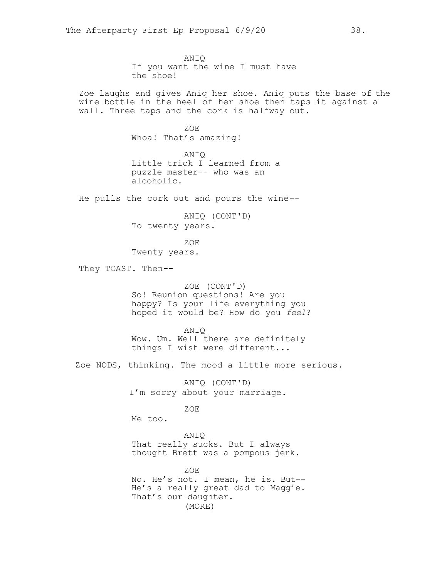ANIQ If you want the wine I must have the shoe!

Zoe laughs and gives Aniq her shoe. Aniq puts the base of the wine bottle in the heel of her shoe then taps it against a wall. Three taps and the cork is halfway out.

> ZOE Whoa! That's amazing!

ANIQ Little trick I learned from a puzzle master-- who was an alcoholic.

He pulls the cork out and pours the wine--

ANIQ (CONT'D) To twenty years.

ZOE Twenty years.

They TOAST. Then--

ZOE (CONT'D) So! Reunion questions! Are you happy? Is your life everything you hoped it would be? How do you *feel*?

ANIQ Wow. Um. Well there are definitely things I wish were different...

Zoe NODS, thinking. The mood a little more serious.

ANIQ (CONT'D) I'm sorry about your marriage.

ZOE

Me too.

ANIQ That really sucks. But I always thought Brett was a pompous jerk.

ZOE No. He's not. I mean, he is. But-- He's a really great dad to Maggie. That's our daughter. (MORE)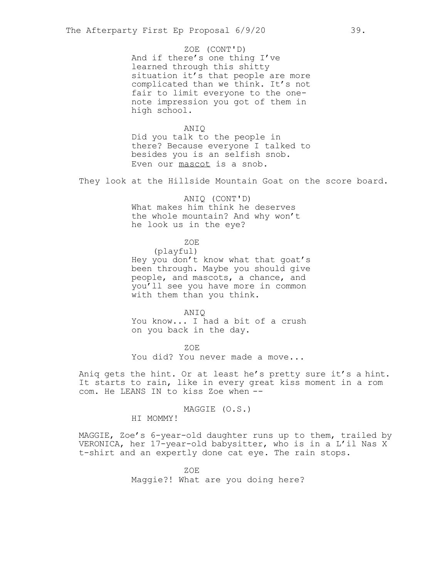#### ZOE (CONT'D)

And if there's one thing I've learned through this shitty situation it's that people are more complicated than we think. It's not fair to limit everyone to the onenote impression you got of them in high school.

ANIQ Did you talk to the people in there? Because everyone I talked to besides you is an selfish snob. Even our mascot is a snob.

They look at the Hillside Mountain Goat on the score board.

ANIQ (CONT'D) What makes him think he deserves the whole mountain? And why won't he look us in the eye?

#### ZOE

(playful) Hey you don't know what that goat's been through. Maybe you should give people, and mascots, a chance, and you'll see you have more in common with them than you think.

ANIQ You know... I had a bit of a crush on you back in the day.

ZOE

You did? You never made a move...

Aniq gets the hint. Or at least he's pretty sure it's a hint. It starts to rain, like in every great kiss moment in a rom com. He LEANS IN to kiss Zoe when --

MAGGIE (O.S.)

HI MOMMY!

MAGGIE, Zoe's 6-year-old daughter runs up to them, trailed by VERONICA, her 17-year-old babysitter, who is in a L'il Nas X t-shirt and an expertly done cat eye. The rain stops.

> ZOE Maggie?! What are you doing here?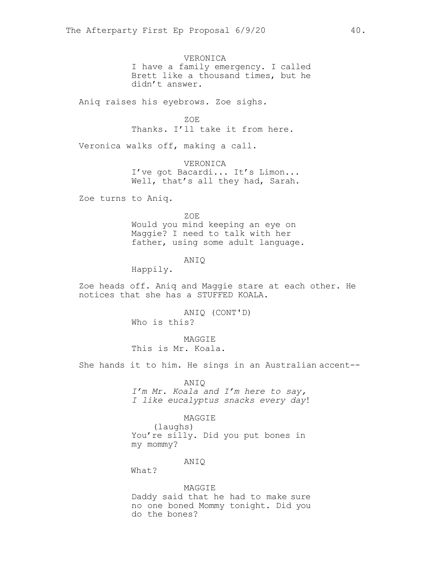VERONICA I have a family emergency. I called Brett like a thousand times, but he didn't answer.

Aniq raises his eyebrows. Zoe sighs.

ZOE Thanks. I'll take it from here.

Veronica walks off, making a call.

VERONICA I've got Bacardi... It's Limon... Well, that's all they had, Sarah.

Zoe turns to Aniq.

ZOE Would you mind keeping an eye on Maggie? I need to talk with her father, using some adult language.

ANIQ

Happily.

Zoe heads off. Aniq and Maggie stare at each other. He notices that she has a STUFFED KOALA.

> ANIQ (CONT'D) Who is this?

MAGGIE This is Mr. Koala.

She hands it to him. He sings in an Australian accent--

ANIQ *I'm Mr. Koala and I'm here to say, I like eucalyptus snacks every day*!

MAGGIE (laughs) You're silly. Did you put bones in my mommy?

#### ANIQ

What?

MAGGIE Daddy said that he had to make sure no one boned Mommy tonight. Did you do the bones?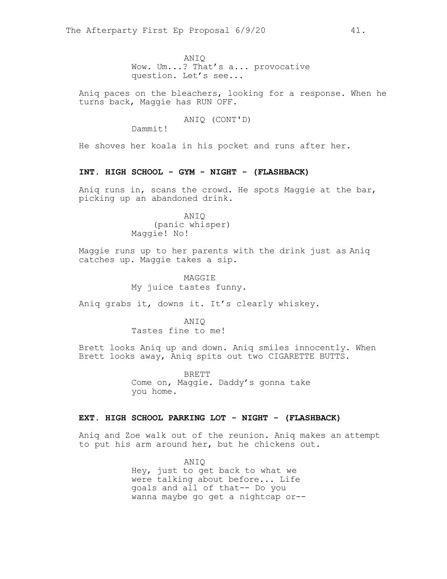ANIQ Wow. Um...? That's a... provocative question. Let's see...

Aniq paces on the bleachers, looking for a response. When he turns back, Maggie has RUN OFF.

ANIQ (CONT'D)

Dammit!

He shoves her koala in his pocket and runs after her.

#### **INT. HIGH SCHOOL - GYM - NIGHT - (FLASHBACK)**

Aniq runs in, scans the crowd. He spots Maggie at the bar, picking up an abandoned drink.

> ANIQ (panic whisper) Maggie! No!

Maggie runs up to her parents with the drink just as Aniq catches up. Maggie takes a sip.

> MAGGIE My juice tastes funny.

Aniq grabs it, downs it. It's clearly whiskey.

ANIQ

Tastes fine to me!

Brett looks Aniq up and down. Aniq smiles innocently. When Brett looks away, Aniq spits out two CIGARETTE BUTTS.

> BRETT Come on, Maggie. Daddy's gonna take you home.

### **EXT. HIGH SCHOOL PARKING LOT - NIGHT - (FLASHBACK)**

Aniq and Zoe walk out of the reunion. Aniq makes an attempt to put his arm around her, but he chickens out.

> ANIQ Hey, just to get back to what we were talking about before... Life goals and all of that-- Do you wanna maybe go get a nightcap or--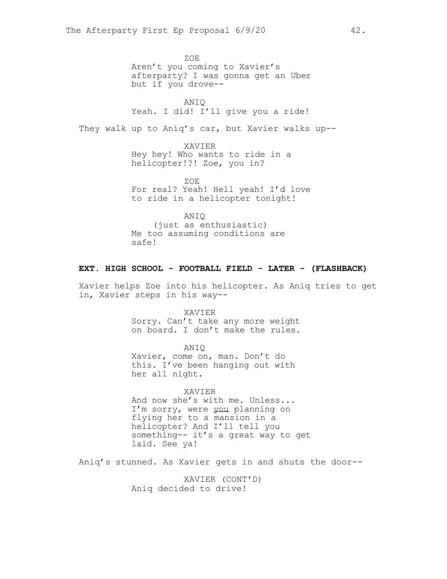ZOE Aren't you coming to Xavier's afterparty? I was gonna get an Uber but if you drove--

ANIQ

Yeah. I did! I'll give you a ride!

They walk up to Aniq's car, but Xavier walks up--

XAVIER Hey hey! Who wants to ride in a helicopter!?! Zoe, you in?

ZOE For real? Yeah! Hell yeah! I'd love to ride in a helicopter tonight!

ANIQ (just as enthusiastic) Me too assuming conditions are safe!

#### **EXT. HIGH SCHOOL - FOOTBALL FIELD - LATER - (FLASHBACK)**

Xavier helps Zoe into his helicopter. As Aniq tries to get in, Xavier steps in his way--

> XAVIER Sorry. Can't take any more weight on board. I don't make the rules.

ANIQ Xavier, come on, man. Don't do this. I've been hanging out with her all night.

XAVIER And now she's with me. Unless... I'm sorry, were you planning on flying her to a mansion in a helicopter? And I'll tell you something-- it's a great way to get laid. See ya!

Aniq's stunned. As Xavier gets in and shuts the door--

XAVIER (CONT'D) Aniq decided to drive!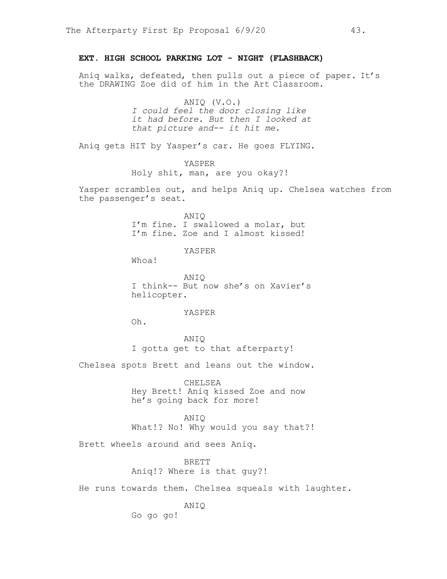#### **EXT. HIGH SCHOOL PARKING LOT - NIGHT (FLASHBACK)**

Aniq walks, defeated, then pulls out a piece of paper. It's the DRAWING Zoe did of him in the Art Classroom.

> ANIQ (V.O.) *I could feel the door closing like it had before. But then I looked at that picture and-- it hit me.*

Aniq gets HIT by Yasper's car. He goes FLYING.

YASPER

Holy shit, man, are you okay?!

Yasper scrambles out, and helps Aniq up. Chelsea watches from the passenger's seat.

> ANIQ I'm fine. I swallowed a molar, but I'm fine. Zoe and I almost kissed!

> > YASPER

Whoa!

ANIQ I think-- But now she's on Xavier's helicopter.

YASPER

Oh.

ANIQ I gotta get to that afterparty!

Chelsea spots Brett and leans out the window.

CHELSEA Hey Brett! Aniq kissed Zoe and now he's going back for more!

ANIQ What!? No! Why would you say that?!

Brett wheels around and sees Aniq.

BRETT Aniq!? Where is that guy?!

He runs towards them. Chelsea squeals with laughter.

ANIQ

Go go go!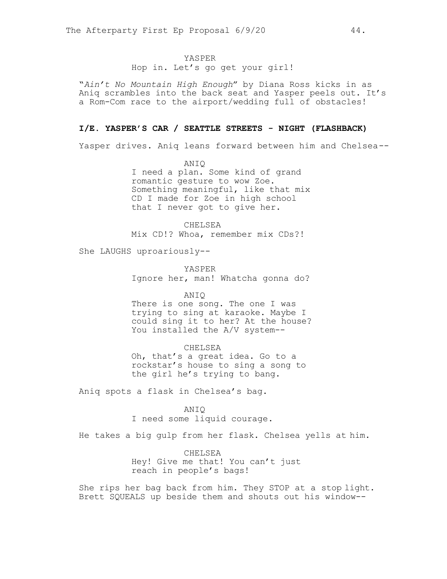### YASPER

Hop in. Let's go get your girl!

"*Ain't No Mountain High Enough*" by Diana Ross kicks in as Aniq scrambles into the back seat and Yasper peels out. It's a Rom-Com race to the airport/wedding full of obstacles!

### **I/E. YASPER'S CAR / SEATTLE STREETS - NIGHT (FLASHBACK)**

Yasper drives. Aniq leans forward between him and Chelsea--

ANIQ I need a plan. Some kind of grand romantic gesture to wow Zoe. Something meaningful, like that mix CD I made for Zoe in high school that I never got to give her.

CHELSEA Mix CD!? Whoa, remember mix CDs?!

She LAUGHS uproariously--

YASPER Ignore her, man! Whatcha gonna do?

ANIQ

There is one song. The one I was trying to sing at karaoke. Maybe I could sing it to her? At the house? You installed the A/V system--

CHELSEA

Oh, that's a great idea. Go to a rockstar's house to sing a song to the girl he's trying to bang.

Aniq spots a flask in Chelsea's bag.

ANIQ I need some liquid courage.

He takes a big gulp from her flask. Chelsea yells at him.

CHELSEA Hey! Give me that! You can't just reach in people's bags!

She rips her bag back from him. They STOP at a stop light. Brett SQUEALS up beside them and shouts out his window--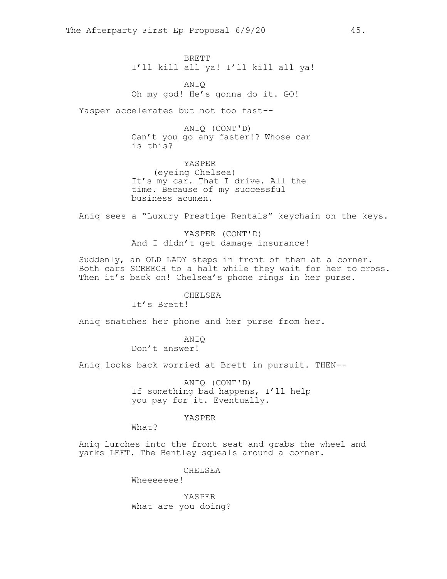BRETT I'll kill all ya! I'll kill all ya!

ANIQ Oh my god! He's gonna do it. GO!

Yasper accelerates but not too fast--

ANIQ (CONT'D) Can't you go any faster!? Whose car is this?

YASPER (eyeing Chelsea) It's my car. That I drive. All the time. Because of my successful business acumen.

Aniq sees a "Luxury Prestige Rentals" keychain on the keys.

YASPER (CONT'D) And I didn't get damage insurance!

Suddenly, an OLD LADY steps in front of them at a corner. Both cars SCREECH to a halt while they wait for her to cross. Then it's back on! Chelsea's phone rings in her purse.

#### CHELSEA

It's Brett!

Aniq snatches her phone and her purse from her.

ANIQ

Don't answer!

Aniq looks back worried at Brett in pursuit. THEN--

ANIQ (CONT'D) If something bad happens, I'll help you pay for it. Eventually.

#### YASPER

What?

Aniq lurches into the front seat and grabs the wheel and yanks LEFT. The Bentley squeals around a corner.

CHELSEA

Wheeeeee!

YASPER What are you doing?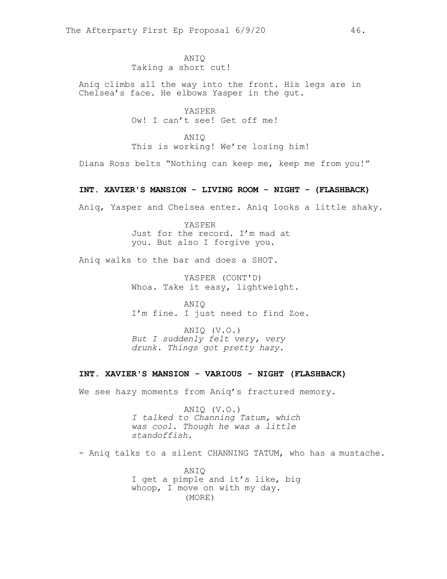ANIQ

Taking a short cut!

Aniq climbs all the way into the front. His legs are in Chelsea's face. He elbows Yasper in the gut.

> YASPER Ow! I can't see! Get off me!

ANIQ This is working! We're losing him!

Diana Ross belts "Nothing can keep me, keep me from you!"

### **INT. XAVIER'S MANSION - LIVING ROOM - NIGHT - (FLASHBACK)**

Aniq, Yasper and Chelsea enter. Aniq looks a little shaky.

YASPER Just for the record. I'm mad at you. But also I forgive you.

Aniq walks to the bar and does a SHOT.

YASPER (CONT'D) Whoa. Take it easy, lightweight.

ANIQ I'm fine. I just need to find Zoe.

ANIQ (V.O.) *But I suddenly felt very, very drunk. Things got pretty hazy.*

# **INT. XAVIER'S MANSION - VARIOUS - NIGHT (FLASHBACK)**

We see hazy moments from Aniq's fractured memory.

ANIQ (V.O.) *I talked to Channing Tatum, which was cool. Though he was a little standoffish.*

- Aniq talks to a silent CHANNING TATUM, who has a mustache.

ANIQ I get a pimple and it's like, big whoop, I move on with my day. (MORE)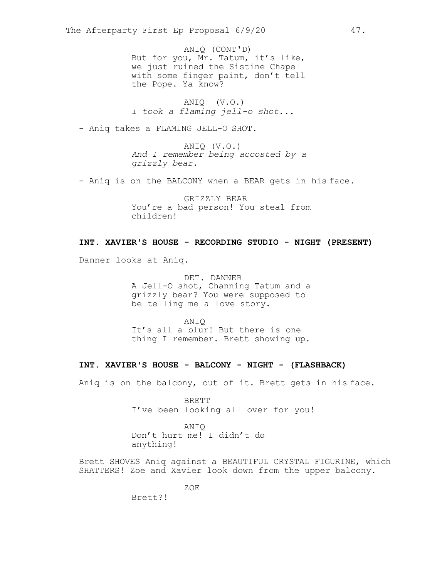ANIQ (CONT'D) But for you, Mr. Tatum, it's like, we just ruined the Sistine Chapel with some finger paint, don't tell the Pope. Ya know?

ANIQ (V.O.) *I took a flaming jell-o shot...*

- Aniq takes a FLAMING JELL-O SHOT.

ANIQ (V.O.) *And I remember being accosted by a grizzly bear.*

- Aniq is on the BALCONY when a BEAR gets in his face.

GRIZZLY BEAR You're a bad person! You steal from children!

### **INT. XAVIER'S HOUSE - RECORDING STUDIO - NIGHT (PRESENT)**

Danner looks at Aniq.

DET. DANNER A Jell-O shot, Channing Tatum and a grizzly bear? You were supposed to be telling me a love story.

ANIQ It's all a blur! But there is one thing I remember. Brett showing up.

#### **INT. XAVIER'S HOUSE - BALCONY - NIGHT - (FLASHBACK)**

Aniq is on the balcony, out of it. Brett gets in his face.

BRETT I've been looking all over for you!

ANIQ Don't hurt me! I didn't do anything!

Brett SHOVES Aniq against a BEAUTIFUL CRYSTAL FIGURINE, which SHATTERS! Zoe and Xavier look down from the upper balcony.

ZOE

Brett?!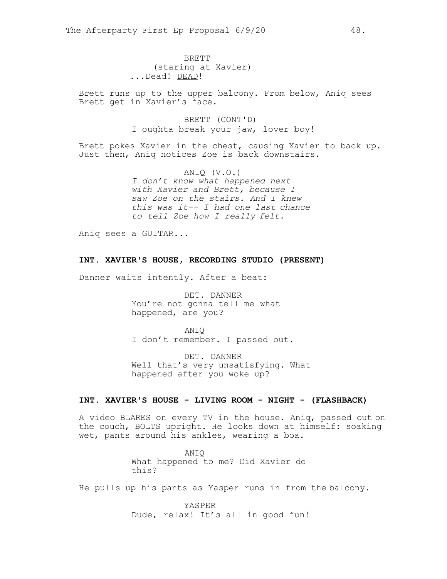BRETT (staring at Xavier) ...Dead! DEAD!

Brett runs up to the upper balcony. From below, Aniq sees Brett get in Xavier's face.

> BRETT (CONT'D) I oughta break your jaw, lover boy!

Brett pokes Xavier in the chest, causing Xavier to back up. Just then, Aniq notices Zoe is back downstairs.

> ANIQ (V.O.) *I don't know what happened next with Xavier and Brett, because I saw Zoe on the stairs. And I knew this was it-- I had one last chance to tell Zoe how I really felt.*

Aniq sees a GUITAR...

#### **INT. XAVIER'S HOUSE, RECORDING STUDIO (PRESENT)**

Danner waits intently. After a beat:

DET. DANNER You're not gonna tell me what happened, are you?

ANIQ I don't remember. I passed out.

DET. DANNER Well that's very unsatisfying. What happened after you woke up?

#### **INT. XAVIER'S HOUSE - LIVING ROOM - NIGHT - (FLASHBACK)**

A video BLARES on every TV in the house. Aniq, passed out on the couch, BOLTS upright. He looks down at himself: soaking wet, pants around his ankles, wearing a boa.

> ANIQ What happened to me? Did Xavier do this?

He pulls up his pants as Yasper runs in from the balcony.

YASPER Dude, relax! It's all in good fun!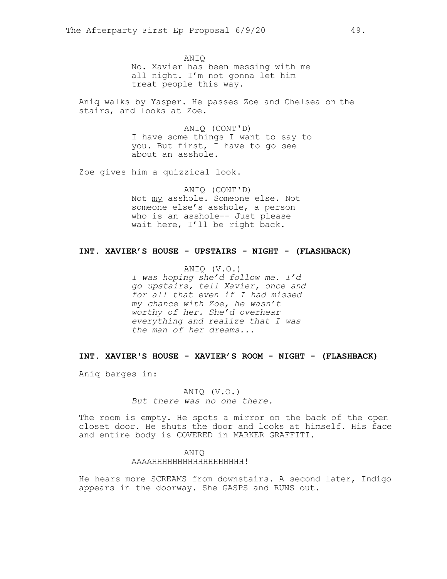ANIQ No. Xavier has been messing with me all night. I'm not gonna let him treat people this way.

Aniq walks by Yasper. He passes Zoe and Chelsea on the stairs, and looks at Zoe.

> ANIQ (CONT'D) I have some things I want to say to you. But first, I have to go see about an asshole.

Zoe gives him a quizzical look.

ANIQ (CONT'D) Not my asshole. Someone else. Not someone else's asshole, a person who is an asshole-- Just please wait here, I'll be right back.

# **INT. XAVIER'S HOUSE - UPSTAIRS - NIGHT - (FLASHBACK)**

ANIQ (V.O.) *I was hoping she'd follow me. I'd go upstairs, tell Xavier, once and for all that even if I had missed my chance with Zoe, he wasn't worthy of her. She'd overhear everything and realize that I was the man of her dreams...*

#### **INT. XAVIER'S HOUSE - XAVIER'S ROOM - NIGHT - (FLASHBACK)**

Aniq barges in:

#### ANIQ (V.O.) *But there was no one there.*

The room is empty. He spots a mirror on the back of the open closet door. He shuts the door and looks at himself. His face and entire body is COVERED in MARKER GRAFFITI.

#### ANIQ AAAAHHHHHHHHHHHHHHHHHH!

He hears more SCREAMS from downstairs. A second later, Indigo appears in the doorway. She GASPS and RUNS out.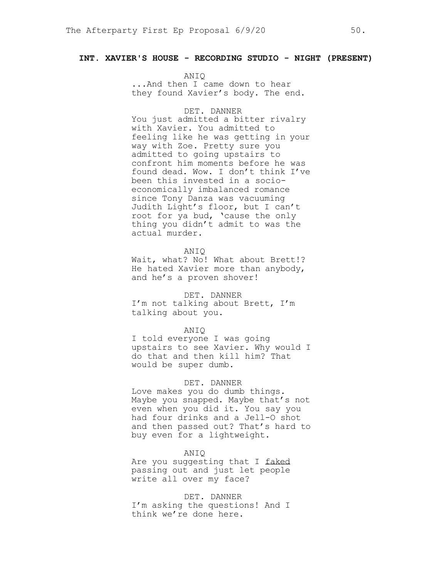### **INT. XAVIER'S HOUSE - RECORDING STUDIO - NIGHT (PRESENT)**

ANIQ ...And then I came down to hear they found Xavier's body. The end.

### DET. DANNER

You just admitted a bitter rivalry with Xavier. You admitted to feeling like he was getting in your way with Zoe. Pretty sure you admitted to going upstairs to confront him moments before he was found dead. Wow. I don't think I've been this invested in a socioeconomically imbalanced romance since Tony Danza was vacuuming Judith Light's floor, but I can't root for ya bud, 'cause the only thing you didn't admit to was the actual murder.

ANIQ

Wait, what? No! What about Brett!? He hated Xavier more than anybody, and he's a proven shover!

DET. DANNER I'm not talking about Brett, I'm talking about you.

#### ANIQ

I told everyone I was going upstairs to see Xavier. Why would I do that and then kill him? That would be super dumb.

### DET. DANNER

Love makes you do dumb things. Maybe you snapped. Maybe that's not even when you did it. You say you had four drinks and a Jell-O shot and then passed out? That's hard to buy even for a lightweight.

ANIQ

Are you suggesting that I faked passing out and just let people write all over my face?

DET. DANNER I'm asking the questions! And I think we're done here.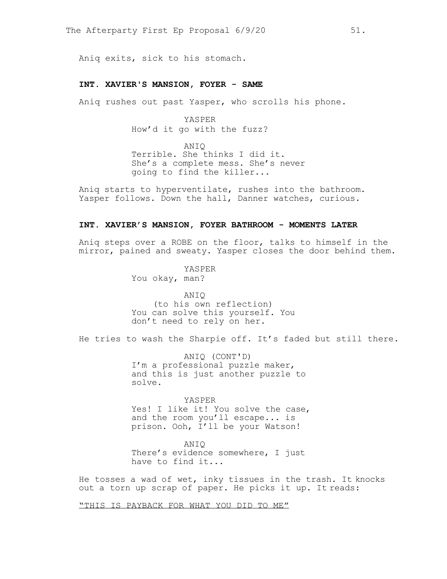Aniq exits, sick to his stomach.

#### **INT. XAVIER'S MANSION, FOYER - SAME**

Aniq rushes out past Yasper, who scrolls his phone.

YASPER How'd it go with the fuzz?

ANIQ Terrible. She thinks I did it. She's a complete mess. She's never going to find the killer...

Aniq starts to hyperventilate, rushes into the bathroom. Yasper follows. Down the hall, Danner watches, curious.

### **INT. XAVIER'S MANSION, FOYER BATHROOM - MOMENTS LATER**

Aniq steps over a ROBE on the floor, talks to himself in the mirror, pained and sweaty. Yasper closes the door behind them.

> YASPER You okay, man?

ANIQ (to his own reflection) You can solve this yourself. You don't need to rely on her.

He tries to wash the Sharpie off. It's faded but still there.

ANIQ (CONT'D) I'm a professional puzzle maker, and this is just another puzzle to solve.

YASPER Yes! I like it! You solve the case, and the room you'll escape... is prison. Ooh, I'll be your Watson!

ANIQ There's evidence somewhere, I just have to find it...

He tosses a wad of wet, inky tissues in the trash. It knocks out a torn up scrap of paper. He picks it up. It reads:

"THIS IS PAYBACK FOR WHAT YOU DID TO ME"